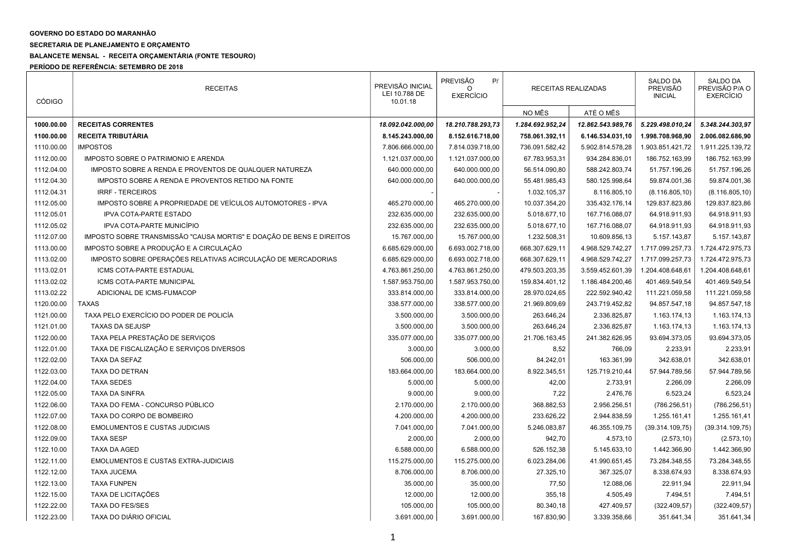## GOVERNO DO ESTADO DO MARANHÃO

SECRETARIA DE PLANEJAMENTO E ORÇAMENTO

## BALANCETE MENSAL - RECEITA ORÇAMENTÁRIA (FONTE TESOURO)

PERÍODO DE REFERÊNCIA: SETEMBRO DE 2018

| <b>CÓDIGO</b> | <b>RECEITAS</b>                                                      | PREVISÃO INICIAL<br>LEI 10.788 DE<br>10.01.18 | <b>PREVISÃO</b><br>P/<br>∩<br><b>EXERCÍCIO</b> | RECEITAS REALIZADAS |                   | SALDO DA<br><b>PREVISÃO</b><br><b>INICIAL</b> | SALDO DA<br>PREVISÃO P/A O<br><b>EXERCÍCIO</b> |
|---------------|----------------------------------------------------------------------|-----------------------------------------------|------------------------------------------------|---------------------|-------------------|-----------------------------------------------|------------------------------------------------|
|               |                                                                      |                                               |                                                | NO MÊS              | ATÉ O MÊS         |                                               |                                                |
| 1000.00.00    | <b>RECEITAS CORRENTES</b>                                            | 18.092.042.000.00                             | 18.210.788.293,73                              | 1.284.692.952,24    | 12.862.543.989,76 | 5.229.498.010,24                              | 5.348.244.303,97                               |
| 1100.00.00    | RECEITA TRIBUTÁRIA                                                   | 8.145.243.000,00                              | 8.152.616.718,00                               | 758.061.392,11      | 6.146.534.031,10  | 1.998.708.968,90                              | 2.006.082.686,90                               |
| 1110.00.00    | <b>IMPOSTOS</b>                                                      | 7.806.666.000,00                              | 7.814.039.718,00                               | 736.091.582,42      | 5.902.814.578,28  | 1.903.851.421,72                              | 1.911.225.139,72                               |
| 1112.00.00    | IMPOSTO SOBRE O PATRIMONIO E ARENDA                                  | 1.121.037.000,00                              | 1.121.037.000,00                               | 67.783.953,31       | 934.284.836,01    | 186.752.163,99                                | 186.752.163,99                                 |
| 1112.04.00    | IMPOSTO SOBRE A RENDA E PROVENTOS DE QUALQUER NATUREZA               | 640.000.000,00                                | 640.000.000,00                                 | 56.514.090,80       | 588.242.803,74    | 51.757.196,26                                 | 51.757.196,26                                  |
| 1112.04.30    | IMPOSTO SOBRE A RENDA E PROVENTOS RETIDO NA FONTE                    | 640.000.000,00                                | 640.000.000,00                                 | 55.481.985,43       | 580.125.998,64    | 59.874.001,36                                 | 59.874.001,36                                  |
| 1112.04.31    | <b>IRRF - TERCEIROS</b>                                              |                                               |                                                | 1.032.105,37        | 8.116.805,10      | (8.116.805, 10)                               | (8.116.805, 10)                                |
| 1112.05.00    | IMPOSTO SOBRE A PROPRIEDADE DE VEÍCULOS AUTOMOTORES - IPVA           | 465.270.000,00                                | 465.270.000,00                                 | 10.037.354,20       | 335.432.176,14    | 129.837.823,86                                | 129.837.823,86                                 |
| 1112.05.01    | <b>IPVA COTA-PARTE ESTADO</b>                                        | 232.635.000,00                                | 232.635.000,00                                 | 5.018.677,10        | 167.716.088,07    | 64.918.911,93                                 | 64.918.911,93                                  |
| 1112.05.02    | IPVA COTA-PARTE MUNICÍPIO                                            | 232.635.000,00                                | 232.635.000,00                                 | 5.018.677,10        | 167.716.088,07    | 64.918.911,93                                 | 64.918.911,93                                  |
| 1112.07.00    | IMPOSTO SOBRE TRANSMISSÃO "CAUSA MORTIS" E DOAÇÃO DE BENS E DIREITOS | 15.767.000,00                                 | 15.767.000,00                                  | 1.232.508,31        | 10.609.856,13     | 5.157.143,87                                  | 5.157.143,87                                   |
| 1113.00.00    | IMPOSTO SOBRE A PRODUÇÃO E A CIRCULAÇÃO                              | 6.685.629.000,00                              | 6.693.002.718,00                               | 668.307.629,11      | 4.968.529.742,27  | 1.717.099.257,73                              | 1.724.472.975,73                               |
| 1113.02.00    | IMPOSTO SOBRE OPERAÇÕES RELATIVAS ACIRCULAÇÃO DE MERCADORIAS         | 6.685.629.000,00                              | 6.693.002.718,00                               | 668.307.629,11      | 4.968.529.742,27  | 1.717.099.257,73                              | 1.724.472.975,73                               |
| 1113.02.01    | ICMS COTA-PARTE ESTADUAL                                             | 4.763.861.250,00                              | 4.763.861.250,00                               | 479.503.203,35      | 3.559.452.601,39  | 1.204.408.648,61                              | 1.204.408.648,61                               |
| 1113.02.02    | ICMS COTA-PARTE MUNICIPAL                                            | 1.587.953.750,00                              | 1.587.953.750,00                               | 159.834.401,12      | 1.186.484.200,46  | 401.469.549,54                                | 401.469.549,54                                 |
| 1113.02.22    | ADICIONAL DE ICMS-FUMACOP                                            | 333.814.000,00                                | 333.814.000,00                                 | 28.970.024,65       | 222.592.940,42    | 111.221.059,58                                | 111.221.059,58                                 |
| 1120.00.00    | <b>TAXAS</b>                                                         | 338.577.000,00                                | 338.577.000,00                                 | 21.969.809,69       | 243.719.452,82    | 94.857.547,18                                 | 94.857.547,18                                  |
| 1121.00.00    | TAXA PELO EXERCÍCIO DO PODER DE POLICÍA                              | 3.500.000,00                                  | 3.500.000,00                                   | 263.646,24          | 2.336.825,87      | 1.163.174,13                                  | 1.163.174,13                                   |
| 1121.01.00    | <b>TAXAS DA SEJUSP</b>                                               | 3.500.000,00                                  | 3.500.000,00                                   | 263.646,24          | 2.336.825,87      | 1.163.174,13                                  | 1.163.174,13                                   |
| 1122.00.00    | TAXA PELA PRESTAÇÃO DE SERVIÇOS                                      | 335.077.000,00                                | 335.077.000,00                                 | 21.706.163,45       | 241.382.626,95    | 93.694.373,05                                 | 93.694.373,05                                  |
| 1122.01.00    | TAXA DE FISCALIZAÇÃO E SERVIÇOS DIVERSOS                             | 3.000,00                                      | 3.000,00                                       | 8,52                | 766,09            | 2.233,91                                      | 2.233,91                                       |
| 1122.02.00    | TAXA DA SEFAZ                                                        | 506.000,00                                    | 506.000,00                                     | 84.242,01           | 163.361,99        | 342.638,01                                    | 342.638,01                                     |
| 1122.03.00    | <b>TAXA DO DETRAN</b>                                                | 183.664.000,00                                | 183.664.000,00                                 | 8.922.345,51        | 125.719.210,44    | 57.944.789,56                                 | 57.944.789,56                                  |
| 1122.04.00    | <b>TAXA SEDES</b>                                                    | 5.000,00                                      | 5.000,00                                       | 42,00               | 2.733,91          | 2.266,09                                      | 2.266,09                                       |
| 1122.05.00    | <b>TAXA DA SINFRA</b>                                                | 9.000,00                                      | 9.000,00                                       | 7,22                | 2.476,76          | 6.523,24                                      | 6.523,24                                       |
| 1122.06.00    | TAXA DO FEMA - CONCURSO PÚBLICO                                      | 2.170.000,00                                  | 2.170.000,00                                   | 368.882,53          | 2.956.256,51      | (786.256, 51)                                 | (786.256, 51)                                  |
| 1122.07.00    | TAXA DO CORPO DE BOMBEIRO                                            | 4.200.000,00                                  | 4.200.000,00                                   | 233.626,22          | 2.944.838,59      | 1.255.161,41                                  | 1.255.161,41                                   |
| 1122.08.00    | <b>EMOLUMENTOS E CUSTAS JUDICIAIS</b>                                | 7.041.000,00                                  | 7.041.000,00                                   | 5.246.083,87        | 46.355.109,75     | (39.314.109,75)                               | (39.314.109,75)                                |
| 1122.09.00    | <b>TAXA SESP</b>                                                     | 2.000,00                                      | 2.000,00                                       | 942,70              | 4.573,10          | (2.573, 10)                                   | (2.573, 10)                                    |
| 1122.10.00    | <b>TAXA DA AGED</b>                                                  | 6.588.000,00                                  | 6.588.000,00                                   | 526.152,38          | 5.145.633,10      | 1.442.366,90                                  | 1.442.366,90                                   |
| 1122.11.00    | <b>EMOLUMENTOS E CUSTAS EXTRA-JUDICIAIS</b>                          | 115.275.000,00                                | 115.275.000,00                                 | 6.023.284,06        | 41.990.651,45     | 73.284.348,55                                 | 73.284.348,55                                  |
| 1122.12.00    | <b>TAXA JUCEMA</b>                                                   | 8.706.000,00                                  | 8.706.000,00                                   | 27.325,10           | 367.325,07        | 8.338.674,93                                  | 8.338.674,93                                   |
| 1122.13.00    | <b>TAXA FUNPEN</b>                                                   | 35.000,00                                     | 35.000,00                                      | 77,50               | 12.088,06         | 22.911,94                                     | 22.911,94                                      |
| 1122.15.00    | TAXA DE LICITAÇÕES                                                   | 12.000,00                                     | 12.000,00                                      | 355,18              | 4.505,49          | 7.494,51                                      | 7.494,51                                       |
| 1122.22.00    | <b>TAXA DO FES/SES</b>                                               | 105.000,00                                    | 105.000,00                                     | 80.340,18           | 427.409,57        | (322.409, 57)                                 | (322.409, 57)                                  |
| 1122.23.00    | TAXA DO DIÁRIO OFICIAL                                               | 3.691.000,00                                  | 3.691.000,00                                   | 167.830,90          | 3.339.358,66      | 351.641,34                                    | 351.641,34                                     |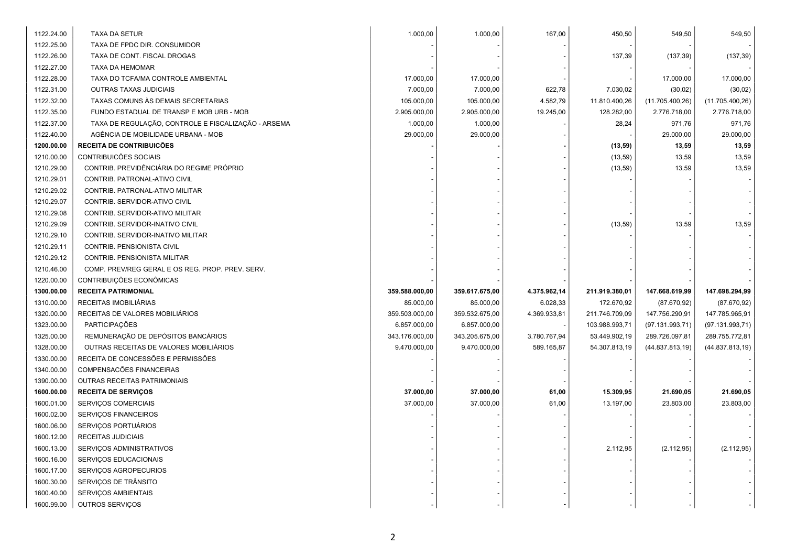| 1122.24.00 | <b>TAXA DA SETUR</b>                                | 1.000,00       | 1.000,00       | 167,00       | 450,50         | 549,50           | 549,50           |
|------------|-----------------------------------------------------|----------------|----------------|--------------|----------------|------------------|------------------|
| 1122.25.00 | TAXA DE FPDC DIR. CONSUMIDOR                        |                |                |              |                |                  |                  |
| 1122.26.00 | TAXA DE CONT. FISCAL DROGAS                         |                |                |              | 137,39         | (137, 39)        | (137, 39)        |
| 1122.27.00 | TAXA DA HEMOMAR                                     |                |                |              |                |                  |                  |
| 1122.28.00 | TAXA DO TCFA/MA CONTROLE AMBIENTAL                  | 17.000,00      | 17.000,00      |              |                | 17.000,00        | 17.000,00        |
| 1122.31.00 | <b>OUTRAS TAXAS JUDICIAIS</b>                       | 7.000,00       | 7.000,00       | 622,78       | 7.030,02       | (30, 02)         | (30, 02)         |
| 1122.32.00 | TAXAS COMUNS ÀS DEMAIS SECRETARIAS                  | 105.000,00     | 105.000,00     | 4.582,79     | 11.810.400,26  | (11.705.400,26)  | (11.705.400, 26) |
| 1122.35.00 | FUNDO ESTADUAL DE TRANSP E MOB URB - MOB            | 2.905.000,00   | 2.905.000,00   | 19.245,00    | 128.282,00     | 2.776.718,00     | 2.776.718,00     |
| 1122.37.00 | TAXA DE REGULAÇÃO, CONTROLE E FISCALIZAÇÃO - ARSEMA | 1.000,00       | 1.000,00       |              | 28,24          | 971,76           | 971,76           |
| 1122.40.00 | AGÊNCIA DE MOBILIDADE URBANA - MOB                  | 29.000,00      | 29.000,00      |              |                | 29.000,00        | 29.000,00        |
| 1200.00.00 | RECEITA DE CONTRIBUICÕES                            |                |                |              | (13,59)        | 13,59            | 13,59            |
| 1210.00.00 | CONTRIBUICÕES SOCIAIS                               |                |                |              | (13, 59)       | 13,59            | 13,59            |
| 1210.29.00 | CONTRIB. PREVIDÊNCIÁRIA DO REGIME PRÓPRIO           |                |                |              | (13, 59)       | 13,59            | 13,59            |
| 1210.29.01 | CONTRIB. PATRONAL-ATIVO CIVIL                       |                |                |              |                |                  |                  |
| 1210.29.02 | CONTRIB. PATRONAL-ATIVO MILITAR                     |                |                |              |                |                  |                  |
| 1210.29.07 | CONTRIB. SERVIDOR-ATIVO CIVIL                       |                |                |              |                |                  |                  |
| 1210.29.08 | CONTRIB. SERVIDOR-ATIVO MILITAR                     |                |                |              |                |                  |                  |
| 1210.29.09 | CONTRIB. SERVIDOR-INATIVO CIVIL                     |                |                |              | (13, 59)       | 13,59            | 13,59            |
| 1210.29.10 | CONTRIB. SERVIDOR-INATIVO MILITAR                   |                |                |              |                |                  |                  |
| 1210.29.11 | CONTRIB. PENSIONISTA CIVIL                          |                |                |              |                |                  |                  |
| 1210.29.12 | CONTRIB. PENSIONISTA MILITAR                        |                |                |              |                |                  |                  |
| 1210.46.00 | COMP. PREV/REG GERAL E OS REG. PROP. PREV. SERV.    |                |                |              |                |                  |                  |
| 1220.00.00 | CONTRIBUIÇÕES ECONÔMICAS                            |                |                |              |                |                  |                  |
| 1300.00.00 | <b>RECEITA PATRIMONIAL</b>                          | 359.588.000,00 | 359.617.675,00 | 4.375.962,14 | 211.919.380,01 | 147.668.619,99   | 147.698.294,99   |
| 1310.00.00 | RECEITAS IMOBILIÁRIAS                               | 85.000,00      | 85.000,00      | 6.028,33     | 172.670,92     | (87.670, 92)     | (87.670, 92)     |
| 1320.00.00 | RECEITAS DE VALORES MOBILIÁRIOS                     | 359.503.000,00 | 359.532.675,00 | 4.369.933,81 | 211.746.709,09 | 147.756.290,91   | 147.785.965,91   |
| 1323.00.00 | PARTICIPAÇÕES                                       | 6.857.000,00   | 6.857.000,00   |              | 103.988.993,71 | (97.131.993,71)  | (97.131.993,71)  |
| 1325.00.00 | REMUNERAÇÃO DE DEPÓSITOS BANCÁRIOS                  | 343.176.000,00 | 343.205.675,00 | 3.780.767,94 | 53.449.902,19  | 289.726.097,81   | 289.755.772,81   |
| 1328.00.00 | OUTRAS RECEITAS DE VALORES MOBILIÁRIOS              | 9.470.000,00   | 9.470.000,00   | 589.165,87   | 54.307.813,19  | (44.837.813, 19) | (44.837.813, 19) |
| 1330.00.00 | RECEITA DE CONCESSÕES E PERMISSÕES                  |                |                |              |                |                  |                  |
| 1340.00.00 | COMPENSACÕES FINANCEIRAS                            |                |                |              |                |                  |                  |
| 1390.00.00 | OUTRAS RECEITAS PATRIMONIAIS                        |                |                |              |                |                  |                  |
| 1600.00.00 | <b>RECEITA DE SERVIÇOS</b>                          | 37.000,00      | 37.000,00      | 61,00        | 15.309,95      | 21.690,05        | 21.690,05        |
| 1600.01.00 | SERVIÇOS COMERCIAIS                                 | 37.000,00      | 37.000,00      | 61,00        | 13.197,00      | 23.803,00        | 23.803,00        |
| 1600.02.00 | SERVIÇOS FINANCEIROS                                |                |                |              |                |                  |                  |
| 1600.06.00 | SERVIÇOS PORTUÁRIOS                                 |                |                |              |                |                  |                  |
| 1600.12.00 | RECEITAS JUDICIAIS                                  |                |                |              |                |                  |                  |
| 1600.13.00 | SERVIÇOS ADMINISTRATIVOS                            |                |                |              | 2.112,95       | (2.112, 95)      | (2.112, 95)      |
| 1600.16.00 | SERVIÇOS EDUCACIONAIS                               |                |                |              |                |                  |                  |
| 1600.17.00 | SERVIÇOS AGROPECURIOS                               |                |                |              |                |                  |                  |
| 1600.30.00 | SERVIÇOS DE TRÂNSITO                                |                |                |              |                |                  |                  |
| 1600.40.00 |                                                     |                |                |              |                |                  |                  |
|            | SERVIÇOS AMBIENTAIS                                 |                |                |              |                |                  |                  |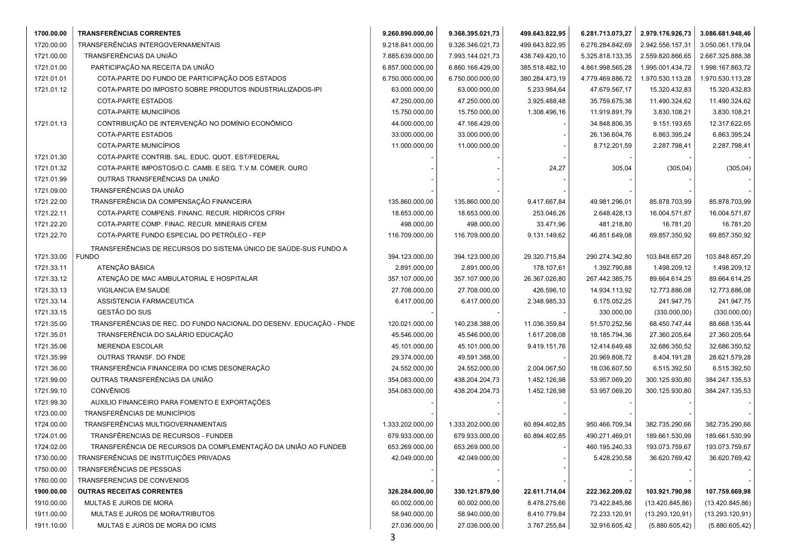| 1700.00.00 | <b>TRANSFERÊNCIAS CORRENTES</b>                                     | 9.260.890.000,00 | 9.368.395.021,73 | 499.643.822,95 | 6.281.713.073,27 | 2.979.176.926,73 | 3.086.681.948,46 |
|------------|---------------------------------------------------------------------|------------------|------------------|----------------|------------------|------------------|------------------|
| 1720.00.00 | TRANSFERÊNCIAS INTERGOVERNAMENTAIS                                  | 9.218.841.000,00 | 9.326.346.021,73 | 499.643.822,95 | 6.276.284.842,69 | 2.942.556.157,31 | 3.050.061.179,04 |
| 1721.00.00 | TRANSFERÊNCIAS DA UNIÃO                                             | 7.885.639.000,00 | 7.993.144.021,73 | 438.749.420,10 | 5.325.818.133,35 | 2.559.820.866,65 | 2.667.325.888,38 |
| 1721.01.00 | PARTICIPAÇÃO NA RECEITA DA UNIÃO                                    | 6.857.000.000,00 | 6.860.166.429,00 | 385.518.482,10 | 4.861.998.565,28 | 1.995.001.434,72 | 1.998.167.863,72 |
| 1721.01.01 | COTA-PARTE DO FUNDO DE PARTICIPAÇÃO DOS ESTADOS                     | 6.750.000.000,00 | 6.750.000.000,00 | 380.284.473,19 | 4.779.469.886,72 | 1.970.530.113,28 | 1.970.530.113,28 |
| 1721.01.12 | COTA-PARTE DO IMPOSTO SOBRE PRODUTOS INDUSTRIALIZADOS-IPI           | 63.000.000,00    | 63.000.000,00    | 5.233.984,64   | 47.679.567,17    | 15.320.432,83    | 15.320.432,83    |
|            | <b>COTA-PARTE ESTADOS</b>                                           | 47.250.000,00    | 47.250.000,00    | 3.925.488,48   | 35.759.675,38    | 11.490.324,62    | 11.490.324,62    |
|            | COTA-PARTE MUNICÍPIOS                                               | 15.750.000,00    | 15.750.000,00    | 1.308.496,16   | 11.919.891,79    | 3.830.108,21     | 3.830.108,21     |
| 1721.01.13 | CONTRIBUIÇÃO DE INTERVENÇÃO NO DOMÍNIO ECONÔMICO                    | 44.000.000,00    | 47.166.429,00    |                | 34.848.806,35    | 9.151.193,65     | 12.317.622,65    |
|            | <b>COTA-PARTE ESTADOS</b>                                           | 33.000.000,00    | 33.000.000,00    |                | 26.136.604,76    | 6.863.395,24     | 6.863.395,24     |
|            | COTA-PARTE MUNICÍPIOS                                               | 11.000.000,00    | 11.000.000,00    |                | 8.712.201,59     | 2.287.798,41     | 2.287.798,41     |
| 1721.01.30 | COTA-PARTE CONTRIB. SAL. EDUC. QUOT. EST/FEDERAL                    |                  |                  |                |                  |                  |                  |
| 1721.01.32 | COTA-PARTE IMPOSTOS/O.C. CAMB. E SEG. T.V.M. COMER. OURO            |                  |                  | 24,27          | 305,04           | (305, 04)        | (305, 04)        |
| 1721.01.99 | OUTRAS TRANSFERÊNCIAS DA UNIÃO                                      |                  |                  |                |                  |                  |                  |
| 1721.09.00 | TRANSFERÊNCIAS DA UNIÃO                                             |                  |                  |                |                  |                  |                  |
| 1721.22.00 | TRANSFERÊNCIA DA COMPENSAÇÃO FINANCEIRA                             | 135.860.000,00   | 135.860.000,00   | 9.417.667,84   | 49.981.296,01    | 85.878.703,99    | 85.878.703,99    |
| 1721.22.11 | COTA-PARTE COMPENS. FINANC. RECUR. HÍDRICOS CFRH                    | 18.653.000,00    | 18.653.000,00    | 253.046,26     | 2.648.428,13     | 16.004.571,87    | 16.004.571,87    |
| 1721.22.20 | COTA-PARTE COMP. FINAC. RECUR. MINERAIS CFEM                        | 498.000,00       | 498.000,00       | 33.471,96      | 481.218,80       | 16.781,20        | 16.781,20        |
| 1721.22.70 | COTA-PARTE FUNDO ESPECIAL DO PETRÓLEO - FEP                         | 116.709.000,00   | 116.709.000,00   | 9.131.149,62   | 46.851.649,08    | 69.857.350,92    | 69.857.350,92    |
|            | TRANSFERÊNCIAS DE RECURSOS DO SISTEMA ÚNICO DE SAÚDE-SUS FUNDO A    |                  |                  |                |                  |                  |                  |
| 1721.33.00 | <b>FUNDO</b>                                                        | 394.123.000,00   | 394.123.000,00   | 29.320.715,84  | 290.274.342,80   | 103.848.657,20   | 103.848.657,20   |
| 1721.33.11 | ATENÇÃO BÁSICA                                                      | 2.891.000,00     | 2.891.000,00     | 178.107,61     | 1.392.790,88     | 1.498.209,12     | 1.498.209,12     |
| 1721.33.12 | ATENÇÃO DE MAC AMBULATORIAL E HOSPITALAR                            | 357.107.000,00   | 357.107.000,00   | 26.367.026,80  | 267.442.385,75   | 89.664.614,25    | 89.664.614,25    |
| 1721.33.13 | VIGILANCIA EM SAUDE                                                 | 27.708.000,00    | 27.708.000,00    | 426.596,10     | 14.934.113,92    | 12.773.886,08    | 12.773.886,08    |
| 1721.33.14 | ASSISTENCIA FARMACEUTICA                                            | 6.417.000,00     | 6.417.000,00     | 2.348.985,33   | 6.175.052,25     | 241.947,75       | 241.947,75       |
| 1721.33.15 | GESTÃO DO SUS                                                       |                  |                  |                | 330.000,00       | (330.000, 00)    | (330.000,00)     |
| 1721.35.00 | TRANSFERÊNCIAS DE REC. DO FUNDO NACIONAL DO DESENV. EDUCAÇÃO - FNDE | 120.021.000,00   | 140.238.388,00   | 11.036.359,84  | 51.570.252,56    | 68.450.747,44    | 88.668.135,44    |
| 1721.35.01 | TRANSFERÊNCIA DO SALÁRIO EDUCAÇÃO                                   | 45.546.000,00    | 45.546.000,00    | 1.617.208,08   | 18.185.794,36    | 27.360.205,64    | 27.360.205,64    |
| 1721.35.06 | <b>MERENDA ESCOLAR</b>                                              | 45.101.000,00    | 45.101.000,00    | 9.419.151,76   | 12.414.649,48    | 32.686.350,52    | 32.686.350,52    |
| 1721.35.99 | OUTRAS TRANSF. DO FNDE                                              | 29.374.000,00    | 49.591.388,00    |                | 20.969.808,72    | 8.404.191,28     | 28.621.579,28    |
| 1721.36.00 | TRANSFERÊNCIA FINANCEIRA DO ICMS DESONERAÇÃO                        | 24.552.000,00    | 24.552.000,00    | 2.004.067,50   | 18.036.607,50    | 6.515.392,50     | 6.515.392,50     |
| 1721.99.00 | OUTRAS TRANSFERÊNCIAS DA UNIÃO                                      | 354.083.000,00   | 438.204.204,73   | 1.452.126,98   | 53.957.069,20    | 300.125.930,80   | 384.247.135,53   |
| 1721.99.10 | <b>CONVÊNIOS</b>                                                    | 354.083.000,00   | 438.204.204,73   | 1.452.126,98   | 53.957.069,20    | 300.125.930,80   | 384.247.135,53   |
| 1721.99.30 | AUXILIO FINANCEIRO PARA FOMENTO E EXPORTAÇÕES                       |                  |                  |                |                  |                  |                  |
| 1723.00.00 | TRANSFERÊNCIAS DE MUNICÍPIOS                                        |                  |                  |                |                  |                  |                  |
| 1724.00.00 | TRANSFERÊNCIAS MULTIGOVERNAMENTAIS                                  | 1.333.202.000,00 | 1.333.202.000,00 | 60.894.402,85  | 950.466.709,34   | 382.735.290,66   | 382.735.290,66   |
| 1724.01.00 | TRANSFÊRENCIAS DE RECURSOS - FUNDEB                                 | 679.933.000,00   | 679.933.000,00   | 60.894.402,85  | 490.271.469,01   | 189.661.530,99   | 189.661.530,99   |
| 1724.02.00 | TRANSFERÊNCIA DE RECURSOS DA COMPLEMENTAÇÃO DA UNIÃO AO FUNDEB      | 653.269.000,00   | 653.269.000,00   |                | 460.195.240,33   | 193.073.759,67   | 193.073.759,67   |
| 1730.00.00 | TRANSFERÊNCIAS DE INSTITUIÇÕES PRIVADAS                             | 42.049.000,00    | 42.049.000,00    |                | 5.428.230,58     | 36.620.769,42    | 36.620.769,42    |
| 1750.00.00 | TRANSFERÊNCIAS DE PESSOAS                                           |                  |                  |                |                  |                  |                  |
| 1760.00.00 | TRANSFERENCIAS DE CONVENIOS                                         |                  |                  |                |                  |                  |                  |
| 1900.00.00 | <b>OUTRAS RECEITAS CORRENTES</b>                                    | 326.284.000,00   | 330.121.879,00   | 22.611.714,04  | 222.362.209,02   | 103.921.790,98   | 107.759.669,98   |
| 1910.00.00 | MULTAS E JUROS DE MORA                                              | 60.002.000,00    | 60.002.000,00    | 8.478.275,66   | 73.422.845,86    | (13.420.845, 86) | (13.420.845, 86) |
| 1911.00.00 | MULTAS E JUROS DE MORA/TRIBUTOS                                     | 58.940.000,00    | 58.940.000,00    | 8.410.779,84   | 72.233.120,91    | (13.293.120,91)  | (13.293.120,91)  |
| 1911.10.00 | MULTAS E JUROS DE MORA DO ICMS                                      | 27.036.000,00    | 27.036.000,00    | 3.767.255,84   | 32.916.605,42    | (5.880.605, 42)  | (5.880.605, 42)  |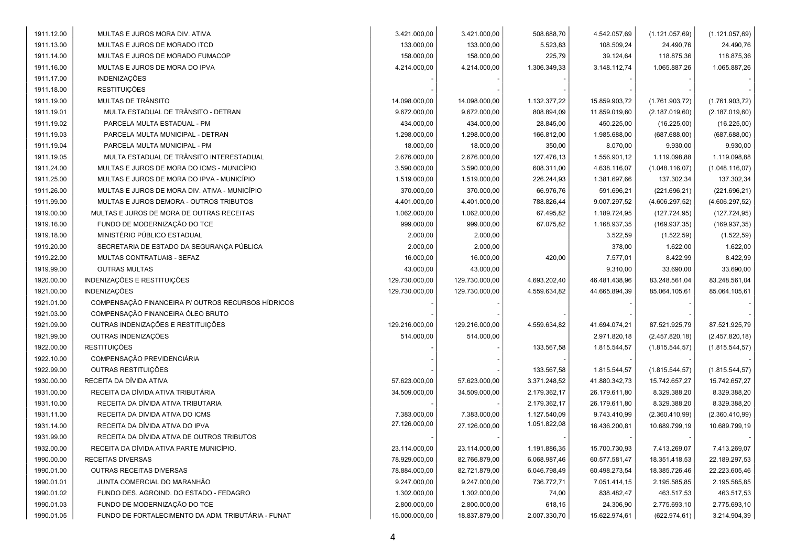| 1911.12.00 | MULTAS E JUROS MORA DIV. ATIVA                     | 3.421.000,00   | 3.421.000,00   | 508.688,70   | 4.542.057,69  | (1.121.057,69)  | (1.121.057,69)  |
|------------|----------------------------------------------------|----------------|----------------|--------------|---------------|-----------------|-----------------|
| 1911.13.00 | MULTAS E JUROS DE MORADO ITCD                      | 133.000,00     | 133.000,00     | 5.523,83     | 108.509,24    | 24.490,76       | 24.490,76       |
| 1911.14.00 | MULTAS E JUROS DE MORADO FUMACOP                   | 158.000,00     | 158.000,00     | 225,79       | 39.124,64     | 118.875,36      | 118.875,36      |
| 1911.16.00 | MULTAS E JUROS DE MORA DO IPVA                     | 4.214.000,00   | 4.214.000,00   | 1.306.349,33 | 3.148.112,74  | 1.065.887,26    | 1.065.887,26    |
| 1911.17.00 | INDENIZAÇÕES                                       |                |                |              |               |                 |                 |
| 1911.18.00 | <b>RESTITUIÇÕES</b>                                |                |                |              |               |                 |                 |
| 1911.19.00 | MULTAS DE TRÂNSITO                                 | 14.098.000,00  | 14.098.000,00  | 1.132.377,22 | 15.859.903,72 | (1.761.903, 72) | (1.761.903, 72) |
| 1911.19.01 | MULTA ESTADUAL DE TRÂNSITO - DETRAN                | 9.672.000,00   | 9.672.000,00   | 808.894,09   | 11.859.019,60 | (2.187.019,60)  | (2.187.019,60)  |
| 1911.19.02 | PARCELA MULTA ESTADUAL - PM                        | 434.000,00     | 434.000,00     | 28.845,00    | 450.225,00    | (16.225,00)     | (16.225,00)     |
| 1911.19.03 | PARCELA MULTA MUNICIPAL - DETRAN                   | 1.298.000,00   | 1.298.000,00   | 166.812,00   | 1.985.688,00  | (687.688,00)    | (687.688,00)    |
| 1911.19.04 | PARCELA MULTA MUNICIPAL - PM                       | 18.000,00      | 18.000,00      | 350,00       | 8.070,00      | 9.930,00        | 9.930,00        |
| 1911.19.05 | MULTA ESTADUAL DE TRÂNSITO INTERESTADUAL           | 2.676.000,00   | 2.676.000,00   | 127.476,13   | 1.556.901,12  | 1.119.098,88    | 1.119.098,88    |
| 1911.24.00 | MULTAS E JUROS DE MORA DO ICMS - MUNICÍPIO         | 3.590.000,00   | 3.590.000,00   | 608.311,00   | 4.638.116,07  | (1.048.116, 07) | (1.048.116,07)  |
| 1911.25.00 | MULTAS E JUROS DE MORA DO IPVA - MUNICÍPIO         | 1.519.000,00   | 1.519.000,00   | 226.244,93   | 1.381.697,66  | 137.302,34      | 137.302,34      |
| 1911.26.00 | MULTAS E JUROS DE MORA DIV. ATIVA - MUNICÍPIO      | 370.000,00     | 370.000,00     | 66.976,76    | 591.696,21    | (221.696, 21)   | (221.696, 21)   |
| 1911.99.00 | MULTAS E JUROS DEMORA - OUTROS TRIBUTOS            | 4.401.000,00   | 4.401.000,00   | 788.826,44   | 9.007.297,52  | (4.606.297, 52) | (4.606.297, 52) |
| 1919.00.00 | MULTAS E JUROS DE MORA DE OUTRAS RECEITAS          | 1.062.000,00   | 1.062.000,00   | 67.495,82    | 1.189.724,95  | (127.724, 95)   | (127.724, 95)   |
| 1919.16.00 | FUNDO DE MODERNIZAÇÃO DO TCE                       | 999.000,00     | 999.000,00     | 67.075,82    | 1.168.937,35  | (169.937, 35)   | (169.937, 35)   |
| 1919.18.00 | MINISTÉRIO PÚBLICO ESTADUAL                        | 2.000,00       | 2.000,00       |              | 3.522,59      | (1.522, 59)     | (1.522, 59)     |
| 1919.20.00 | SECRETARIA DE ESTADO DA SEGURANÇA PÚBLICA          | 2.000,00       | 2.000,00       |              | 378,00        | 1.622,00        | 1.622,00        |
| 1919.22.00 | MULTAS CONTRATUAIS - SEFAZ                         | 16.000,00      | 16.000,00      | 420,00       | 7.577,01      | 8.422,99        | 8.422,99        |
| 1919.99.00 | <b>OUTRAS MULTAS</b>                               | 43.000,00      | 43.000,00      |              | 9.310,00      | 33.690,00       | 33.690,00       |
| 1920.00.00 | INDENIZAÇÕES E RESTITUIÇÕES                        | 129.730.000,00 | 129.730.000,00 | 4.693.202,40 | 46.481.438,96 | 83.248.561,04   | 83.248.561,04   |
| 1921.00.00 | <b>INDENIZAÇÕES</b>                                | 129.730.000,00 | 129.730.000,00 | 4.559.634,82 | 44.665.894,39 | 85.064.105,61   | 85.064.105,61   |
| 1921.01.00 | COMPENSAÇÃO FINANCEIRA P/ OUTROS RECURSOS HÍDRICOS |                |                |              |               |                 |                 |
| 1921.03.00 | COMPENSAÇÃO FINANCEIRA ÓLEO BRUTO                  |                |                |              |               |                 |                 |
| 1921.09.00 | OUTRAS INDENIZAÇÕES E RESTITUIÇÕES                 | 129.216.000,00 | 129.216.000,00 | 4.559.634,82 | 41.694.074,21 | 87.521.925,79   | 87.521.925,79   |
| 1921.99.00 | OUTRAS INDENIZAÇÕES                                | 514.000,00     | 514.000,00     |              | 2.971.820,18  | (2.457.820, 18) | (2.457.820, 18) |
| 1922.00.00 | <b>RESTITUIÇÕES</b>                                |                |                | 133.567,58   | 1.815.544,57  | (1.815.544, 57) | (1.815.544, 57) |
| 1922.10.00 | COMPENSAÇÃO PREVIDENCIÁRIA                         |                |                |              |               |                 |                 |
| 1922.99.00 | OUTRAS RESTITUIÇÕES                                |                |                | 133.567,58   | 1.815.544,57  | (1.815.544, 57) | (1.815.544, 57) |
| 1930.00.00 | RECEITA DA DÍVIDA ATIVA                            | 57.623.000,00  | 57.623.000,00  | 3.371.248,52 | 41.880.342,73 | 15.742.657,27   | 15.742.657,27   |
| 1931.00.00 | RECEITA DA DÍVIDA ATIVA TRIBUTÁRIA                 | 34.509.000,00  | 34.509.000,00  | 2.179.362,17 | 26.179.611,80 | 8.329.388,20    | 8.329.388,20    |
| 1931.10.00 | RECEITA DA DÍVIDA ATIVA TRIBUTARIA                 |                |                | 2.179.362,17 | 26.179.611,80 | 8.329.388,20    | 8.329.388,20    |
| 1931.11.00 | RECEITA DA DIVIDA ATIVA DO ICMS                    | 7.383.000,00   | 7.383.000,00   | 1.127.540,09 | 9.743.410,99  | (2.360.410,99)  | (2.360.410,99)  |
| 1931.14.00 | RECEITA DA DÍVIDA ATIVA DO IPVA                    | 27.126.000,00  | 27.126.000,00  | 1.051.822,08 | 16.436.200,81 | 10.689.799,19   | 10.689.799,19   |
| 1931.99.00 | RECEITA DA DÍVIDA ATIVA DE OUTROS TRIBUTOS         |                |                |              |               |                 |                 |
| 1932.00.00 | RECEITA DA DÍVIDA ATIVA PARTE MUNICÍPIO.           | 23.114.000,00  | 23.114.000,00  | 1.191.886,35 | 15.700.730,93 | 7.413.269,07    | 7.413.269,07    |
| 1990.00.00 | RECEITAS DIVERSAS                                  | 78.929.000,00  | 82.766.879,00  | 6.068.987,46 | 60.577.581,47 | 18.351.418,53   | 22.189.297,53   |
| 1990.01.00 | OUTRAS RECEITAS DIVERSAS                           | 78.884.000,00  | 82.721.879,00  | 6.046.798,49 | 60.498.273,54 | 18.385.726,46   | 22.223.605,46   |
| 1990.01.01 | JUNTA COMERCIAL DO MARANHÃO                        | 9.247.000,00   | 9.247.000,00   | 736.772,71   | 7.051.414,15  | 2.195.585,85    | 2.195.585,85    |
| 1990.01.02 | FUNDO DES. AGROIND. DO ESTADO - FEDAGRO            | 1.302.000,00   | 1.302.000,00   | 74,00        | 838.482,47    | 463.517,53      | 463.517,53      |
| 1990.01.03 | FUNDO DE MODERNIZAÇÃO DO TCE                       | 2.800.000,00   | 2.800.000,00   | 618,15       | 24.306,90     | 2.775.693,10    | 2.775.693,10    |
| 1990.01.05 | FUNDO DE FORTALECIMENTO DA ADM. TRIBUTÁRIA - FUNAT | 15.000.000,00  | 18.837.879,00  | 2.007.330,70 | 15.622.974,61 | (622.974, 61)   | 3.214.904,39    |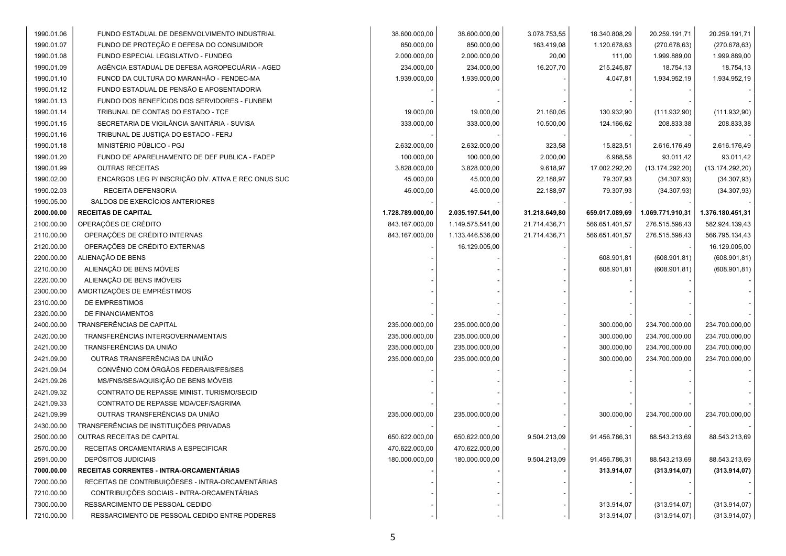| 1990.01.06 | FUNDO ESTADUAL DE DESENVOLVIMENTO INDUSTRIAL        | 38.600.000,00    | 38.600.000,00    | 3.078.753,55  | 18.340.808,29  | 20.259.191,71    | 20.259.191,71    |
|------------|-----------------------------------------------------|------------------|------------------|---------------|----------------|------------------|------------------|
| 1990.01.07 | FUNDO DE PROTEÇÃO E DEFESA DO CONSUMIDOR            | 850.000,00       | 850.000,00       | 163.419,08    | 1.120.678,63   | (270.678, 63)    | (270.678, 63)    |
| 1990.01.08 | FUNDO ESPECIAL LEGISLATIVO - FUNDEG                 | 2.000.000,00     | 2.000.000,00     | 20,00         | 111,00         | 1.999.889,00     | 1.999.889,00     |
| 1990.01.09 | AGÊNCIA ESTADUAL DE DEFESA AGROPECUÁRIA - AGED      | 234.000,00       | 234.000,00       | 16.207,70     | 215.245,87     | 18.754,13        | 18.754,13        |
| 1990.01.10 | FUNOD DA CULTURA DO MARANHÃO - FENDEC-MA            | 1.939.000,00     | 1.939.000,00     |               | 4.047,81       | 1.934.952,19     | 1.934.952,19     |
| 1990.01.12 | FUNDO ESTADUAL DE PENSÃO E APOSENTADORIA            |                  |                  |               |                |                  |                  |
| 1990.01.13 | FUNDO DOS BENEFÍCIOS DOS SERVIDORES - FUNBEM        |                  |                  |               |                |                  |                  |
| 1990.01.14 | TRIBUNAL DE CONTAS DO ESTADO - TCE                  | 19.000,00        | 19.000,00        | 21.160,05     | 130.932,90     | (111.932,90)     | (111.932,90)     |
| 1990.01.15 | SECRETARIA DE VIGILÂNCIA SANITÁRIA - SUVISA         | 333.000,00       | 333.000,00       | 10.500,00     | 124.166,62     | 208.833,38       | 208.833,38       |
| 1990.01.16 | TRIBUNAL DE JUSTIÇA DO ESTADO - FERJ                |                  |                  |               |                |                  |                  |
| 1990.01.18 | MINISTÉRIO PÚBLICO - PGJ                            | 2.632.000,00     | 2.632.000,00     | 323,58        | 15.823,51      | 2.616.176,49     | 2.616.176,49     |
| 1990.01.20 | FUNDO DE APARELHAMENTO DE DEF PUBLICA - FADEP       | 100.000,00       | 100.000,00       | 2.000,00      | 6.988,58       | 93.011,42        | 93.011,42        |
| 1990.01.99 | <b>OUTRAS RECEITAS</b>                              | 3.828.000,00     | 3.828.000,00     | 9.618,97      | 17.002.292,20  | (13.174.292,20)  | (13.174.292,20)  |
| 1990.02.00 | ENCARGOS LEG P/ INSCRIÇÃO DÍV. ATIVA E REC ONUS SUC | 45.000,00        | 45.000,00        | 22.188,97     | 79.307,93      | (34.307, 93)     | (34.307, 93)     |
| 1990.02.03 | RECEITA DEFENSORIA                                  | 45.000,00        | 45.000,00        | 22.188,97     | 79.307,93      | (34.307, 93)     | (34.307, 93)     |
| 1990.05.00 | SALDOS DE EXERCÍCIOS ANTERIORES                     |                  |                  |               |                |                  |                  |
| 2000.00.00 | <b>RECEITAS DE CAPITAL</b>                          | 1.728.789.000,00 | 2.035.197.541,00 | 31.218.649,80 | 659.017.089,69 | 1.069.771.910,31 | 1.376.180.451,31 |
| 2100.00.00 | OPERAÇÕES DE CRÉDITO                                | 843.167.000,00   | 1.149.575.541,00 | 21.714.436,71 | 566.651.401,57 | 276.515.598,43   | 582.924.139,43   |
| 2110.00.00 | OPERAÇÕES DE CRÉDITO INTERNAS                       | 843.167.000,00   | 1.133.446.536,00 | 21.714.436,71 | 566.651.401,57 | 276.515.598,43   | 566.795.134,43   |
| 2120.00.00 | OPERAÇÕES DE CRÉDITO EXTERNAS                       |                  | 16.129.005,00    |               |                |                  | 16.129.005,00    |
| 2200.00.00 | ALIENAÇÃO DE BENS                                   |                  |                  |               | 608.901,81     | (608.901, 81)    | (608.901, 81)    |
| 2210.00.00 | ALIENAÇÃO DE BENS MÓVEIS                            |                  |                  |               | 608.901,81     | (608.901, 81)    | (608.901, 81)    |
| 2220.00.00 | ALIENAÇÃO DE BENS IMÓVEIS                           |                  |                  |               |                |                  |                  |
| 2300.00.00 | AMORTIZAÇÕES DE EMPRÉSTIMOS                         |                  |                  |               |                |                  |                  |
| 2310.00.00 | DE EMPRESTIMOS                                      |                  |                  |               |                |                  |                  |
| 2320.00.00 | DE FINANCIAMENTOS                                   |                  |                  |               |                |                  |                  |
| 2400.00.00 | TRANSFERÊNCIAS DE CAPITAL                           | 235.000.000,00   | 235.000.000,00   |               | 300.000,00     | 234.700.000,00   | 234.700.000,00   |
| 2420.00.00 | TRANSFERÊNCIAS INTERGOVERNAMENTAIS                  | 235.000.000,00   | 235.000.000,00   |               | 300.000,00     | 234.700.000,00   | 234.700.000,00   |
| 2421.00.00 | TRANSFERÊNCIAS DA UNIÃO                             | 235.000.000,00   | 235.000.000,00   |               | 300.000,00     | 234.700.000,00   | 234.700.000,00   |
| 2421.09.00 | OUTRAS TRANSFERÊNCIAS DA UNIÃO                      | 235.000.000,00   | 235.000.000,00   |               | 300.000,00     | 234.700.000,00   | 234.700.000,00   |
| 2421.09.04 | CONVÊNIO COM ÓRGÃOS FEDERAIS/FES/SES                |                  |                  |               |                |                  |                  |
| 2421.09.26 | MS/FNS/SES/AQUISIÇÃO DE BENS MÓVEIS                 |                  |                  |               |                |                  |                  |
| 2421.09.32 | CONTRATO DE REPASSE MINIST. TURISMO/SECID           |                  |                  |               |                |                  |                  |
| 2421.09.33 | CONTRATO DE REPASSE MDA/CEF/SAGRIMA                 |                  |                  |               |                |                  |                  |
| 2421.09.99 | OUTRAS TRANSFERÊNCIAS DA UNIÃO                      | 235.000.000,00   | 235.000.000,00   |               | 300.000,00     | 234.700.000,00   | 234.700.000,00   |
| 2430.00.00 | TRANSFERÊNCIAS DE INSTITUIÇÕES PRIVADAS             |                  |                  |               |                |                  |                  |
| 2500.00.00 | OUTRAS RECEITAS DE CAPITAL                          | 650.622.000,00   | 650.622.000,00   | 9.504.213,09  | 91.456.786,31  | 88.543.213,69    | 88.543.213,69    |
| 2570.00.00 | RECEITAS ORCAMENTARIAS A ESPECIFICAR                | 470.622.000,00   | 470.622.000,00   |               |                |                  |                  |
| 2591.00.00 | DEPÓSITOS JUDICIAIS                                 | 180.000.000,00   | 180.000.000,00   | 9.504.213,09  | 91.456.786,31  | 88.543.213,69    | 88.543.213,69    |
| 7000.00.00 | RECEITAS CORRENTES - INTRA-ORCAMENTÁRIAS            |                  |                  |               | 313.914,07     | (313.914,07)     | (313.914, 07)    |
| 7200.00.00 | RECEITAS DE CONTRIBUIÇÕESES - INTRA-ORCAMENTÁRIAS   |                  |                  |               |                |                  |                  |
| 7210.00.00 | CONTRIBUIÇÕES SOCIAIS - INTRA-ORCAMENTÁRIAS         |                  |                  |               |                |                  |                  |
| 7300.00.00 | RESSARCIMENTO DE PESSOAL CEDIDO                     |                  |                  |               | 313.914,07     | (313.914,07)     | (313.914,07)     |
| 7210.00.00 | RESSARCIMENTO DE PESSOAL CEDIDO ENTRE PODERES       |                  |                  |               | 313.914,07     | (313.914,07)     | (313.914,07)     |